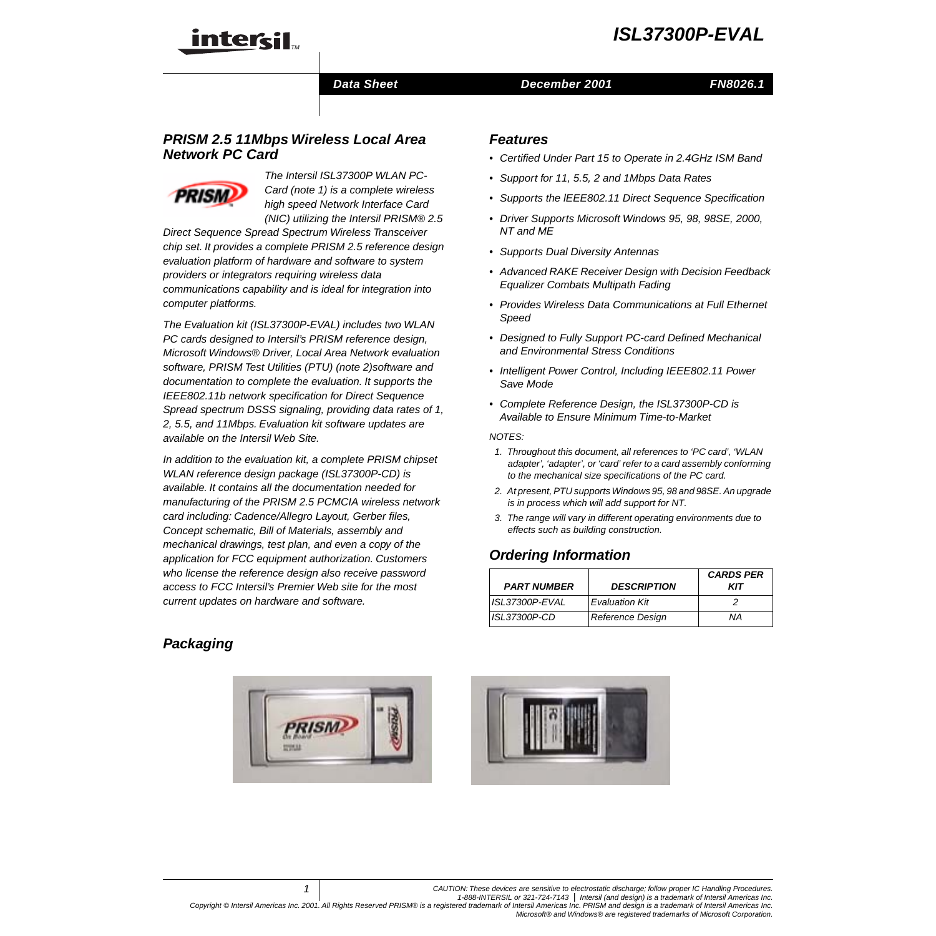

#### **Data Sheet Construction Construction December 2001**

#### **FN8026.1**

# **PRISM 2.5 11Mbps Wireless Local Area Network PC Card**



The Intersil ISL37300P WLAN PC-Card (note [1](#page-0-0)) is a complete wireless high speed Network Interface Card (NIC) utilizing the Intersil PRISM® 2.5

Direct Sequence Spread Spectrum Wireless Transceiver chip set. It provides a complete PRISM 2.5 reference design evaluation platform of hardware and software to system providers or integrators requiring wireless data communications capability and is ideal for integration into computer platforms.

The Evaluation kit (ISL37300P-EVAL) includes two WLAN PC cards designed to Intersil's PRISM reference design, Microsoft Windows® Driver, Local Area Network evaluation software, PRISM Test Utilities (PTU) (note [2](#page-0-1))software and documentation to complete the evaluation. It supports the IEEE802.11b network specification for Direct Sequence Spread spectrum DSSS signaling, providing data rates of 1, 2, 5.5, and 11Mbps. Evaluation kit software updates are available on the Intersil Web Site.

In addition to the evaluation kit, a complete PRISM chipset WLAN reference design package (ISL37300P-CD) is available. It contains all the documentation needed for manufacturing of the PRISM 2.5 PCMCIA wireless network card including: Cadence/Allegro Layout, Gerber files, Concept schematic, Bill of Materials, assembly and mechanical drawings, test plan, and even a copy of the application for FCC equipment authorization. Customers who license the reference design also receive password access to FCC Intersil's Premier Web site for the most current updates on hardware and software.

#### **Features**

- Certified Under Part 15 to Operate in 2.4GHz ISM Band
- Support for 11, 5.5, 2 and 1Mbps Data Rates
- Supports the IEEE802.11 Direct Sequence Specification
- Driver Supports Microsoft Windows 95, 98, 98SE, 2000, NT and ME
- Supports Dual Diversity Antennas
- Advanced RAKE Receiver Design with Decision Feedback Equalizer Combats Multipath Fading
- Provides Wireless Data Communications at Full Ethernet Speed
- Designed to Fully Support PC-card Defined Mechanical and Environmental Stress Conditions
- Intelligent Power Control, Including IEEE802.11 Power Save Mode
- Complete Reference Design, the ISL37300P-CD is Available to Ensure Minimum Time-to-Market

#### NOTES:

- <span id="page-0-0"></span>1. Throughout this document, all references to 'PC card', 'WLAN adapter', 'adapter', or 'card' refer to a card assembly conforming to the mechanical size specifications of the PC card.
- <span id="page-0-1"></span>2. At present, PTU supports Windows 95, 98 and 98SE. An upgrade is in process which will add support for NT.
- <span id="page-0-2"></span>3. The range will vary in different operating environments due to effects such as building construction.

# **Ordering Information**

| <b>PART NUMBER</b>  | <b>DESCRIPTION</b>    | <b>CARDS PER</b><br>KIT |
|---------------------|-----------------------|-------------------------|
| ISL37300P-EVAL      | <b>Evaluation Kit</b> |                         |
| <i>ISL37300P-CD</i> | Reference Design      | ΝA                      |

# <span id="page-0-3"></span>**Packaging**



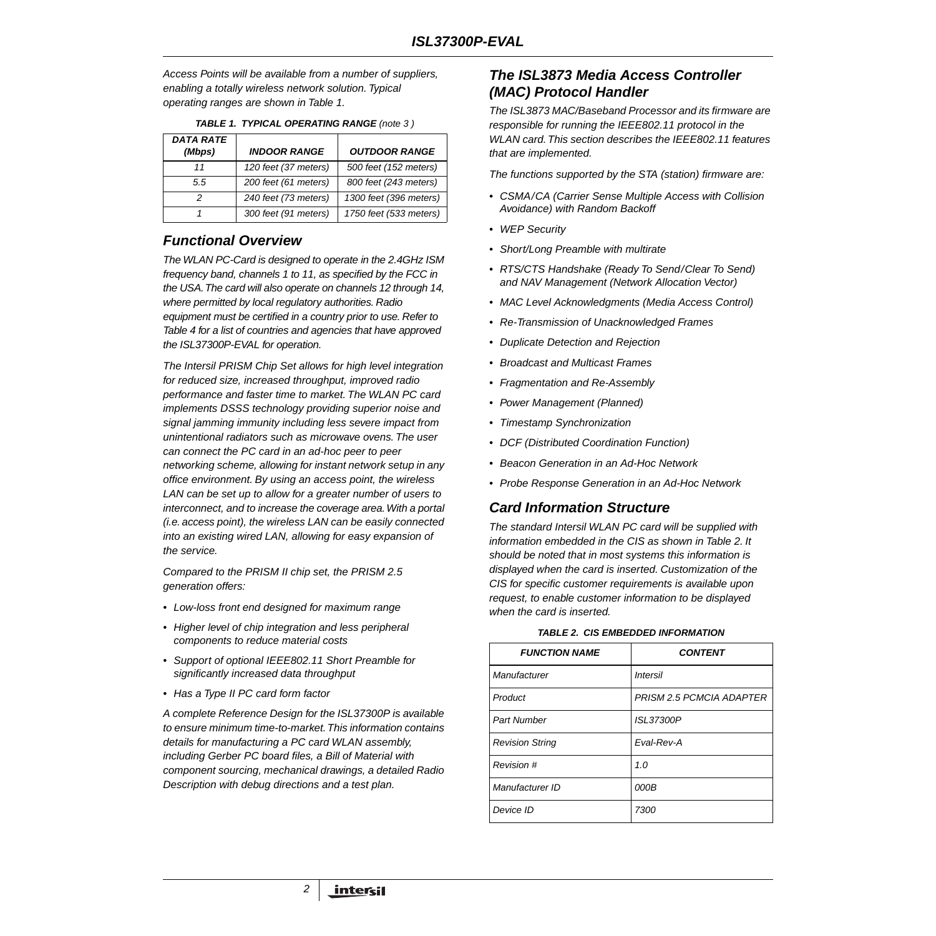Access Points will be available from a number of suppliers, enabling a totally wireless network solution. Typical operating ranges are shown in Table [1.](#page-1-0)

<span id="page-1-0"></span>

| <b>DATA RATE</b><br>(Mbps) | <b>INDOOR RANGE</b>  | <b>OUTDOOR RANGE</b>   |
|----------------------------|----------------------|------------------------|
| 11                         | 120 feet (37 meters) | 500 feet (152 meters)  |
| 5.5                        | 200 feet (61 meters) | 800 feet (243 meters)  |
|                            | 240 feet (73 meters) | 1300 feet (396 meters) |
|                            | 300 feet (91 meters) | 1750 feet (533 meters) |

|  | <b>TABLE 1. TYPICAL OPERATING RANGE (note 3)</b> |  |  |
|--|--------------------------------------------------|--|--|
|  |                                                  |  |  |

# **Functional Overview**

The WLAN PC-Card is designed to operate in the 2.4GHz ISM frequency band, channels 1 to 11, as specified by the FCC in the USA. The card will also operate on channels 12 through 14, where permitted by local regulatory authorities. Radio equipment must be certified in a country prior to use. Refer to Table [4](#page-2-0) for a list of countries and agencies that have approved the ISL37300P-EVAL for operation.

The Intersil PRISM Chip Set allows for high level integration for reduced size, increased throughput, improved radio performance and faster time to market. The WLAN PC card implements DSSS technology providing superior noise and signal jamming immunity including less severe impact from unintentional radiators such as microwave ovens. The user can connect the PC card in an ad-hoc peer to peer networking scheme, allowing for instant network setup in any office environment. By using an access point, the wireless LAN can be set up to allow for a greater number of users to interconnect, and to increase the coverage area. With a portal (i.e. access point), the wireless LAN can be easily connected into an existing wired LAN, allowing for easy expansion of the service.

Compared to the PRISM II chip set, the PRISM 2.5 generation offers:

- Low-loss front end designed for maximum range
- Higher level of chip integration and less peripheral components to reduce material costs
- Support of optional IEEE802.11 Short Preamble for significantly increased data throughput
- Has a Type II PC card form factor

A complete Reference Design for the ISL37300P is available to ensure minimum time-to-market. This information contains details for manufacturing a PC card WLAN assembly, including Gerber PC board files, a Bill of Material with component sourcing, mechanical drawings, a detailed Radio Description with debug directions and a test plan.

2

## **The ISL3873 Media Access Controller (MAC) Protocol Handler**

The ISL3873 MAC/Baseband Processor and its firmware are responsible for running the IEEE802.11 protocol in the WLAN card. This section describes the IEEE802.11 features that are implemented.

The functions supported by the STA (station) firmware are:

- CSMA/CA (Carrier Sense Multiple Access with Collision Avoidance) with Random Backoff
- WEP Security
- Short/Long Preamble with multirate
- RTS/CTS Handshake (Ready To Send/Clear To Send) and NAV Management (Network Allocation Vector)
- MAC Level Acknowledgments (Media Access Control)
- Re-Transmission of Unacknowledged Frames
- Duplicate Detection and Rejection
- Broadcast and Multicast Frames
- Fragmentation and Re-Assembly
- Power Management (Planned)
- Timestamp Synchronization
- DCF (Distributed Coordination Function)
- Beacon Generation in an Ad-Hoc Network
- Probe Response Generation in an Ad-Hoc Network

#### **Card Information Structure**

The standard Intersil WLAN PC card will be supplied with information embedded in the CIS as shown in Table [2](#page-1-1). It should be noted that in most systems this information is displayed when the card is inserted. Customization of the CIS for specific customer requirements is available upon request, to enable customer information to be displayed when the card is inserted.

#### **TABLE 2. CIS EMBEDDED INFORMATION**

<span id="page-1-1"></span>

| <b>FUNCTION NAME</b>   | <b>CONTENT</b>           |
|------------------------|--------------------------|
| Manufacturer           | <b>Intersil</b>          |
| Product                | PRISM 2.5 PCMCIA ADAPTER |
| Part Number            | <b>ISL37300P</b>         |
| <b>Revision String</b> | Fval-Rev-A               |
| Revision #             | 1.0                      |
| Manufacturer ID        | 000B                     |
| Device ID              | 7300                     |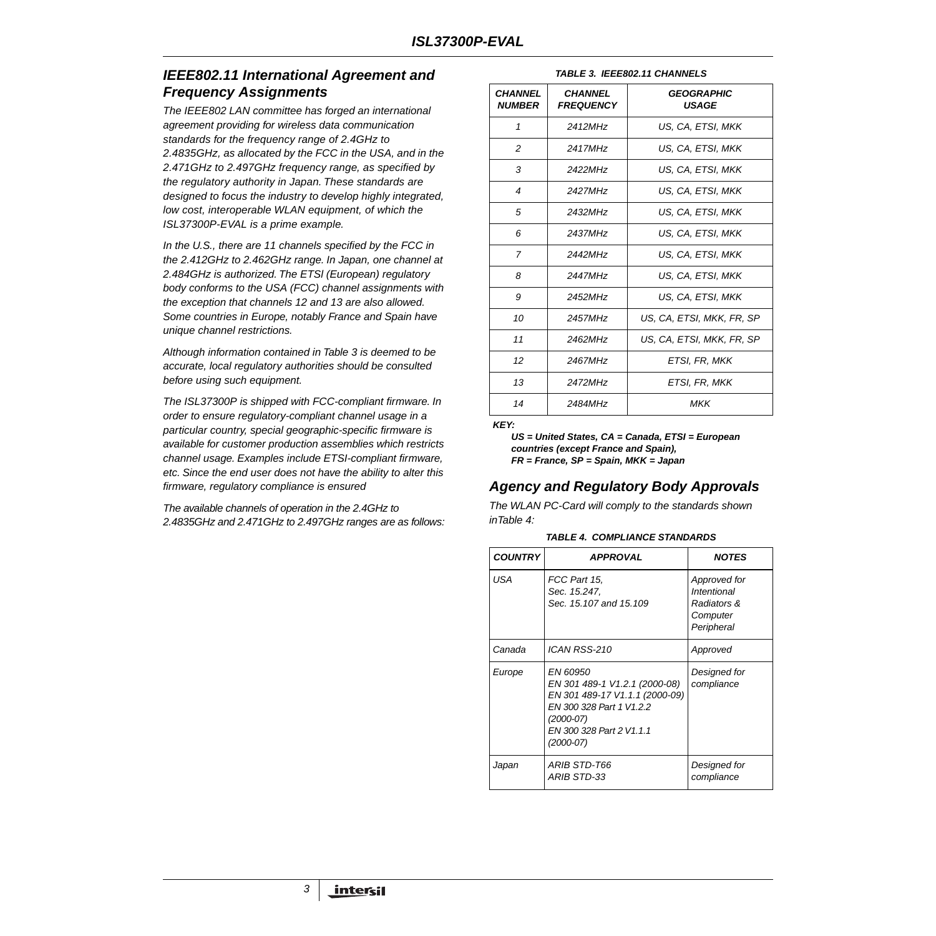# **IEEE802.11 International Agreement and Frequency Assignments**

The IEEE802 LAN committee has forged an international agreement providing for wireless data communication standards for the frequency range of 2.4GHz to 2.4835GHz, as allocated by the FCC in the USA, and in the 2.471GHz to 2.497GHz frequency range, as specified by the regulatory authority in Japan. These standards are designed to focus the industry to develop highly integrated, low cost, interoperable WLAN equipment, of which the ISL37300P-EVAL is a prime example.

In the U.S., there are 11 channels specified by the FCC in the 2.412GHz to 2.462GHz range. In Japan, one channel at 2.484GHz is authorized. The ETSl (European) regulatory body conforms to the USA (FCC) channel assignments with the exception that channels 12 and 13 are also allowed. Some countries in Europe, notably France and Spain have unique channel restrictions.

Although information contained in Table [3](#page-2-1) is deemed to be accurate, local regulatory authorities should be consulted before using such equipment.

The ISL37300P is shipped with FCC-compliant firmware. In order to ensure regulatory-compliant channel usage in a particular country, special geographic-specific firmware is available for customer production assemblies which restricts channel usage. Examples include ETSI-compliant firmware, etc. Since the end user does not have the ability to alter this firmware, regulatory compliance is ensured

The available channels of operation in the 2.4GHz to 2.4835GHz and 2.471GHz to 2.497GHz ranges are as follows:

|  | <b>TABLE 3. IEEE802.11 CHANNELS</b> |
|--|-------------------------------------|
|  |                                     |

<span id="page-2-1"></span>

| <b>CHANNEL</b><br><b>NUMBER</b> | <i><b>CHANNEL</b></i><br><b>FREQUENCY</b> | <b>GEOGRAPHIC</b><br><b>USAGE</b> |
|---------------------------------|-------------------------------------------|-----------------------------------|
| 1                               | 2412MH <sub>7</sub>                       | US. CA. ETSI. MKK                 |
| 2                               | 2417MH <sub>7</sub>                       | US, CA, ETSI, MKK                 |
| 3                               | 2422MHz                                   | US, CA, ETSI, MKK                 |
| 4                               | 2427MHz                                   | US, CA, ETSI, MKK                 |
| 5                               | 2432MHz                                   | US, CA, ETSI, MKK                 |
| 6                               | 2437MHz                                   | US, CA, ETSI, MKK                 |
| $\overline{7}$                  | 2442MH <sub>7</sub>                       | US. CA. ETSI. MKK                 |
| 8                               | 2447MH <sub>7</sub>                       | US, CA, ETSI, MKK                 |
| 9                               | 2452MHz                                   | US. CA. ETSI. MKK                 |
| 10                              | 2457MHz                                   | US, CA, ETSI, MKK, FR, SP         |
| 11                              | 2462MHz                                   | US. CA. ETSI. MKK. FR. SP         |
| 12                              | 2467MHz                                   | ETSI, FR, MKK                     |
| 13                              | 2472MH <sub>7</sub>                       | ETSI, FR, MKK                     |
| 14                              | 2484MHz                                   | MKK                               |

**KEY:**

**US = United States, CA = Canada, ETSI = European countries (except France and Spain), FR = France, SP = Spain, MKK = Japan**

# **Agency and Regulatory Body Approvals**

The WLAN PC-Card will comply to the standards shown inTable [4:](#page-2-0)

|  |  | <b>TABLE 4. COMPLIANCE STANDARDS</b> |
|--|--|--------------------------------------|
|--|--|--------------------------------------|

<span id="page-2-0"></span>

| <b>COUNTRY</b> | <b>APPROVAL</b>                                                                                                                                                 | <b>NOTES</b>                                                                |
|----------------|-----------------------------------------------------------------------------------------------------------------------------------------------------------------|-----------------------------------------------------------------------------|
| USA            | FCC Part 15,<br>Sec. 15.247.<br>Sec. 15, 107 and 15, 109                                                                                                        | Approved for<br><b>Intentional</b><br>Radiators &<br>Computer<br>Peripheral |
| Canada         | ICAN RSS-210                                                                                                                                                    | Approved                                                                    |
| Europe         | EN 60950<br>EN 301 489-1 V1.2.1 (2000-08)<br>EN 301 489-17 V1.1.1 (2000-09)<br>EN 300 328 Part 1 V1.2.2<br>(2000-07)<br>EN 300 328 Part 2 V1.1.1<br>$(2000-07)$ | Designed for<br>compliance                                                  |
| Japan          | ARIB STD-T66<br><b>ARIB STD-33</b>                                                                                                                              | Designed for<br>compliance                                                  |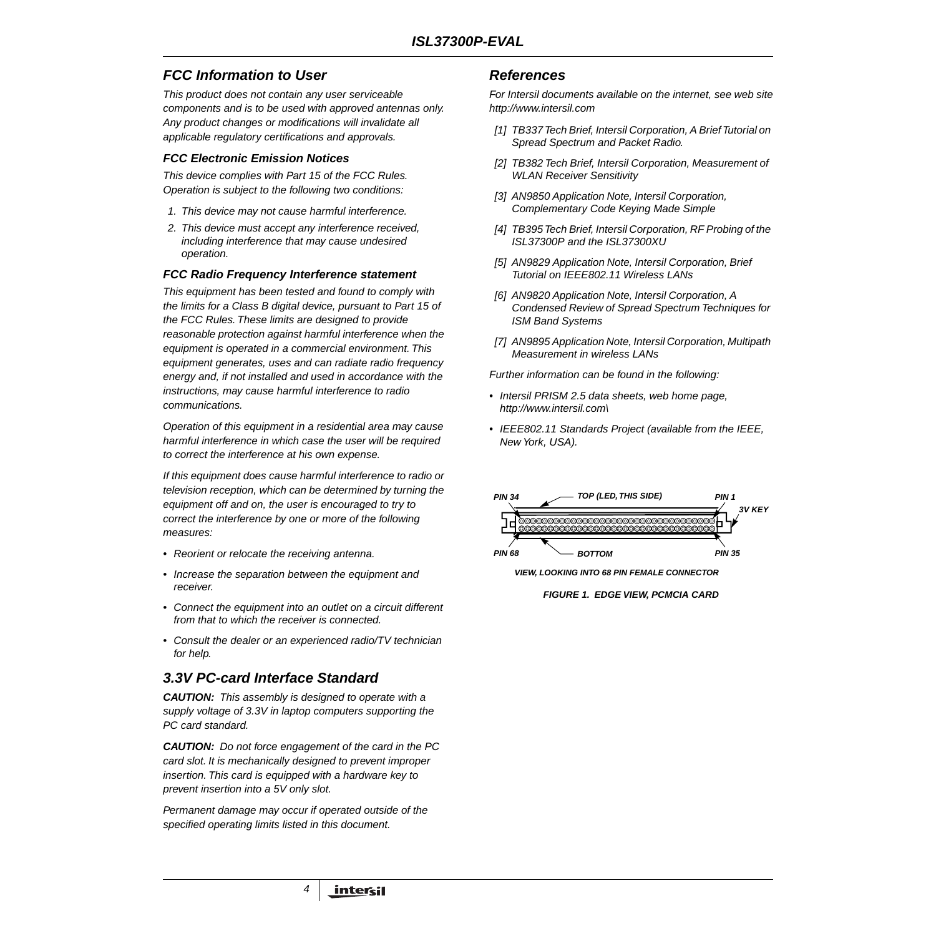# **FCC Information to User**

This product does not contain any user serviceable components and is to be used with approved antennas only. Any product changes or modifications will invalidate all applicable regulatory certifications and approvals.

#### **FCC Electronic Emission Notices**

This device complies with Part 15 of the FCC Rules. Operation is subject to the following two conditions:

- 1. This device may not cause harmful interference.
- 2. This device must accept any interference received, including interference that may cause undesired operation.

#### **FCC Radio Frequency Interference statement**

This equipment has been tested and found to comply with the limits for a Class B digital device, pursuant to Part 15 of the FCC Rules. These limits are designed to provide reasonable protection against harmful interference when the equipment is operated in a commercial environment. This equipment generates, uses and can radiate radio frequency energy and, if not installed and used in accordance with the instructions, may cause harmful interference to radio communications.

Operation of this equipment in a residential area may cause harmful interference in which case the user will be required to correct the interference at his own expense.

If this equipment does cause harmful interference to radio or television reception, which can be determined by turning the equipment off and on, the user is encouraged to try to correct the interference by one or more of the following measures:

- Reorient or relocate the receiving antenna.
- Increase the separation between the equipment and receiver.
- Connect the equipment into an outlet on a circuit different from that to which the receiver is connected.
- Consult the dealer or an experienced radio/TV technician for help.

# **3.3V PC-card Interface Standard**

**CAUTION:** This assembly is designed to operate with a supply voltage of 3.3V in laptop computers supporting the PC card standard.

**CAUTION:** Do not force engagement of the card in the PC card slot. It is mechanically designed to prevent improper insertion. This card is equipped with a hardware key to prevent insertion into a 5V only slot.

Permanent damage may occur if operated outside of the specified operating limits listed in this document.

4

#### **References**

For Intersil documents available on the internet, see web site http://www.intersil.com

- [1] TB337 Tech Brief, Intersil Corporation, A Brief Tutorial on Spread Spectrum and Packet Radio.
- [2] TB382 Tech Brief, Intersil Corporation, Measurement of WLAN Receiver Sensitivity
- [3] AN9850 Application Note, Intersil Corporation, Complementary Code Keying Made Simple
- [4] TB395 Tech Brief, Intersil Corporation, RF Probing of the ISL37300P and the ISL37300XU
- [5] AN9829 Application Note, Intersil Corporation, Brief Tutorial on IEEE802.11 Wireless LANs
- [6] AN9820 Application Note, Intersil Corporation, A Condensed Review of Spread Spectrum Techniques for ISM Band Systems
- <span id="page-3-0"></span>[7] AN9895 Application Note, Intersil Corporation, Multipath Measurement in wireless LANs

Further information can be found in the following:

- Intersil PRISM 2.5 data sheets, web home page, http://www.intersil.com\
- IEEE802.11 Standards Project (available from the IEEE, New York, USA).



**VIEW, LOOKING INTO 68 PIN FEMALE CONNECTOR**

**FIGURE 1. EDGE VIEW, PCMCIA CARD**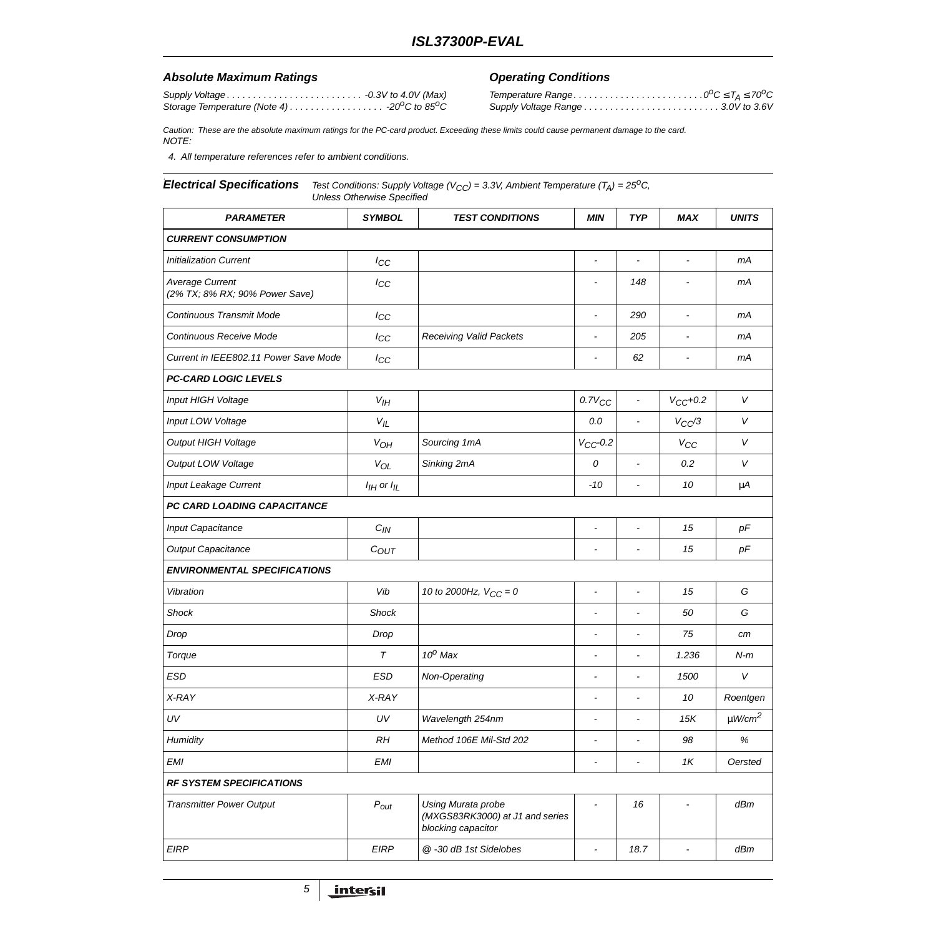#### Absolute Maximum Ratings **Conditions Operating Conditions**

Supply Voltage . . . . . . . . . . . . . . . . . . . . . . . . . . -0.3V to 4.0V (Max) Storage Temperature (Note [4\)](#page-4-0)  $\dots \dots \dots \dots \dots \dots \cdot 20^0C$  to 85<sup>o</sup>C

Temperature Range. . . . . . . . . . . . . . . . . . . . . . . . .0oC ≤ TA <sup>≤</sup> <sup>70</sup>oC Supply Voltage Range . . . . . . . . . . . . . . . . . . . . . . . . . . 3.0V to 3.6V

Caution: These are the absolute maximum ratings for the PC-card product. Exceeding these limits could cause permanent damage to the card. NOTE:

<span id="page-4-0"></span>4. All temperature references refer to ambient conditions.

#### **Electrical Specifications** Test Conditions: Supply Voltage (V<sub>CC</sub>) = 3.3V, Ambient Temperature (T<sub>A</sub>) = 25<sup>o</sup>C, Unless Otherwise Specified

| <b>PARAMETER</b>                                  | <b>SYMBOL</b>      | <b>TEST CONDITIONS</b>                                                      | <b>MIN</b>               | <b>TYP</b>                   | <b>MAX</b>               | <b>UNITS</b>            |  |  |
|---------------------------------------------------|--------------------|-----------------------------------------------------------------------------|--------------------------|------------------------------|--------------------------|-------------------------|--|--|
| <b>CURRENT CONSUMPTION</b>                        |                    |                                                                             |                          |                              |                          |                         |  |  |
| <b>Initialization Current</b>                     | $I_{CC}$           |                                                                             | $\overline{\phantom{a}}$ | $\overline{a}$               | $\overline{a}$           | mA                      |  |  |
| Average Current<br>(2% TX; 8% RX; 90% Power Save) | $I_{CC}$           |                                                                             |                          | 148                          |                          | mА                      |  |  |
| Continuous Transmit Mode                          | $I_{CC}$           |                                                                             | $\tilde{\phantom{a}}$    | 290                          | $\sim$                   | mА                      |  |  |
| Continuous Receive Mode                           | $I_{CC}$           | <b>Receiving Valid Packets</b>                                              | $\overline{\phantom{a}}$ | 205                          | $\overline{\phantom{a}}$ | mА                      |  |  |
| Current in IEEE802.11 Power Save Mode             | $I_{CC}$           |                                                                             |                          | 62                           | $\tilde{\phantom{a}}$    | mА                      |  |  |
| <b>PC-CARD LOGIC LEVELS</b>                       |                    |                                                                             |                          |                              |                          |                         |  |  |
| Input HIGH Voltage                                | $V_{I}$            |                                                                             | $0.7V_{CC}$              | $\blacksquare$               | $V_{CC}+0.2$             | V                       |  |  |
| Input LOW Voltage                                 | $V_{IL}$           |                                                                             | 0.0                      | $\blacksquare$               | $V_{CC}/3$               | $\vee$                  |  |  |
| <b>Output HIGH Voltage</b>                        | $V_{OH}$           | Sourcing 1mA                                                                | $V_{CC}$ -0.2            |                              | $V_{CC}$                 | V                       |  |  |
| Output LOW Voltage                                | $V_{OL}$           | Sinking 2mA                                                                 | 0                        | $\blacksquare$               | 0.2                      | $\vee$                  |  |  |
| <b>Input Leakage Current</b>                      | $I_{I}$ or $I_{I}$ |                                                                             | -10                      | $\blacksquare$               | 10                       | μA                      |  |  |
| PC CARD LOADING CAPACITANCE                       |                    |                                                                             |                          |                              |                          |                         |  |  |
| <b>Input Capacitance</b>                          | $C_{IN}$           |                                                                             | $\overline{a}$           | $\overline{\phantom{a}}$     | 15                       | pF                      |  |  |
| <b>Output Capacitance</b>                         | $C_{OUT}$          |                                                                             | $\blacksquare$           | $\qquad \qquad \blacksquare$ | 15                       | pF                      |  |  |
| <b>ENVIRONMENTAL SPECIFICATIONS</b>               |                    |                                                                             |                          |                              |                          |                         |  |  |
| Vibration                                         | Vib                | 10 to 2000Hz, $V_{CC} = 0$                                                  | $\overline{\phantom{a}}$ | $\blacksquare$               | 15                       | G                       |  |  |
| <b>Shock</b>                                      | <b>Shock</b>       |                                                                             | $\tilde{\phantom{a}}$    | $\overline{\phantom{a}}$     | 50                       | G                       |  |  |
| Drop                                              | Drop               |                                                                             | $\overline{\phantom{a}}$ | $\overline{\phantom{a}}$     | 75                       | cm                      |  |  |
| Torque                                            | $\tau$             | $10^0$ Max                                                                  | $\tilde{\phantom{a}}$    | $\overline{\phantom{a}}$     | 1.236                    | $N-m$                   |  |  |
| <b>ESD</b>                                        | <b>ESD</b>         | Non-Operating                                                               | $\blacksquare$           | $\overline{\phantom{a}}$     | 1500                     | $\vee$                  |  |  |
| X-RAY                                             | X-RAY              |                                                                             | $\blacksquare$           | $\overline{\phantom{a}}$     | 10                       | Roentgen                |  |  |
| UV                                                | UV                 | Wavelength 254nm                                                            | $\blacksquare$           | $\overline{\phantom{a}}$     | 15K                      | $\mu$ W/cm <sup>2</sup> |  |  |
| Humidity                                          | RH                 | Method 106E Mil-Std 202                                                     | $\blacksquare$           | $\overline{\phantom{a}}$     | 98                       | $\%$                    |  |  |
| <b>EMI</b>                                        | <b>EMI</b>         |                                                                             | $\tilde{\phantom{a}}$    | $\overline{\phantom{a}}$     | 1K                       | Oersted                 |  |  |
| <b>RF SYSTEM SPECIFICATIONS</b>                   |                    |                                                                             |                          |                              |                          |                         |  |  |
| <b>Transmitter Power Output</b>                   | $P_{out}$          | Using Murata probe<br>(MXGS83RK3000) at J1 and series<br>blocking capacitor |                          | 16                           |                          | dBm                     |  |  |
| <b>EIRP</b>                                       | <b>EIRP</b>        | @ -30 dB 1st Sidelobes                                                      | $\blacksquare$           | 18.7                         | $\blacksquare$           | dBm                     |  |  |